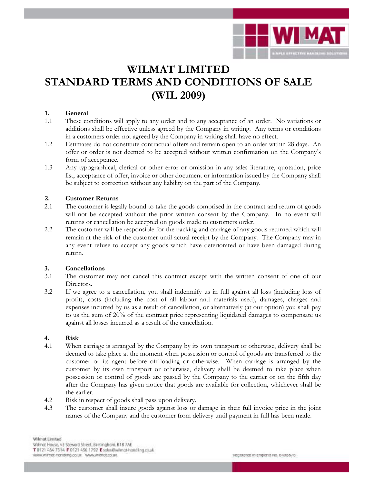

# **WILMAT LIMITED STANDARD TERMS AND CONDITIONS OF SALE (WIL 2009)**

# **1. General**

- 1.1 These conditions will apply to any order and to any acceptance of an order. No variations or additions shall be effective unless agreed by the Company in writing. Any terms or conditions in a customers order not agreed by the Company in writing shall have no effect.
- 1.2 Estimates do not constitute contractual offers and remain open to an order within 28 days. An offer or order is not deemed to be accepted without written confirmation on the Company's form of acceptance.
- 1.3 Any typographical, clerical or other error or omission in any sales literature, quotation, price list, acceptance of offer, invoice or other document or information issued by the Company shall be subject to correction without any liability on the part of the Company.

# **2. Customer Returns**

- 2.1 The customer is legally bound to take the goods comprised in the contract and return of goods will not be accepted without the prior written consent by the Company. In no event will returns or cancellation be accepted on goods made to customers order.
- 2.2 The customer will be responsible for the packing and carriage of any goods returned which will remain at the risk of the customer until actual receipt by the Company. The Company may in any event refuse to accept any goods which have deteriorated or have been damaged during return.

# **3. Cancellations**

- 3.1 The customer may not cancel this contract except with the written consent of one of our Directors.
- 3.2 If we agree to a cancellation, you shall indemnify us in full against all loss (including loss of profit), costs (including the cost of all labour and materials used), damages, charges and expenses incurred by us as a result of cancellation, or alternatively (at our option) you shall pay to us the sum of 20% of the contract price representing liquidated damages to compensate us against all losses incurred as a result of the cancellation.

# **4. Risk**

- 4.1 When carriage is arranged by the Company by its own transport or otherwise, delivery shall be deemed to take place at the moment when possession or control of goods are transferred to the customer or its agent before off-loading or otherwise. When carriage is arranged by the customer by its own transport or otherwise, delivery shall be deemed to take place when possession or control of goods are passed by the Company to the carrier or on the fifth day after the Company has given notice that goods are available for collection, whichever shall be the earlier.
- 4.2 Risk in respect of goods shall pass upon delivery.
- 4.3 The customer shall insure goods against loss or damage in their full invoice price in the joint names of the Company and the customer from delivery until payment in full has been made.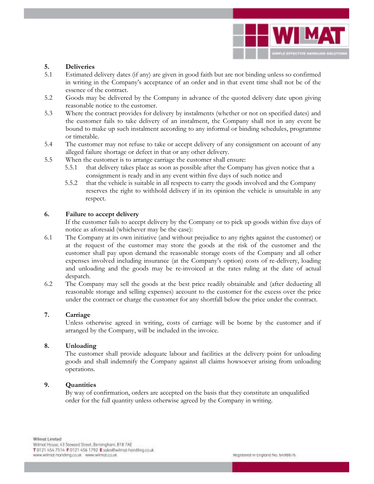

# **5. Deliveries**

- Estimated delivery dates (if any) are given in good faith but are not binding unless so confirmed in writing in the Company's acceptance of an order and in that event time shall not be of the essence of the contract.
- 5.2 Goods may be delivered by the Company in advance of the quoted delivery date upon giving reasonable notice to the customer.
- 5.3 Where the contract provides for delivery by instalments (whether or not on specified dates) and the customer fails to take delivery of an instalment, the Company shall not in any event be bound to make up such instalment according to any informal or binding schedules, programme or timetable.
- 5.4 The customer may not refuse to take or accept delivery of any consignment on account of any alleged failure shortage or defect in that or any other delivery.
- 5.5 When the customer is to arrange carriage the customer shall ensure:
	- 5.5.1 that delivery takes place as soon as possible after the Company has given notice that a consignment is ready and in any event within five days of such notice and
	- 5.5.2 that the vehicle is suitable in all respects to carry the goods involved and the Company reserves the right to withhold delivery if in its opinion the vehicle is unsuitable in any respect.

#### **6. Failure to accept delivery**

If the customer fails to accept delivery by the Company or to pick up goods within five days of notice as aforesaid (whichever may be the case):

- 6.1 The Company at its own initiative (and without prejudice to any rights against the customer) or at the request of the customer may store the goods at the risk of the customer and the customer shall pay upon demand the reasonable storage costs of the Company and all other expenses involved including insurance (at the Company's option) costs of re-delivery, loading and unloading and the goods may be re-invoiced at the rates ruling at the date of actual despatch.
- 6.2 The Company may sell the goods at the best price readily obtainable and (after deducting all reasonable storage and selling expenses) account to the customer for the excess over the price under the contract or charge the customer for any shortfall below the price under the contract.

#### **7. Carriage**

Unless otherwise agreed in writing, costs of carriage will be borne by the customer and if arranged by the Company, will be included in the invoice.

# **8. Unloading**

The customer shall provide adequate labour and facilities at the delivery point for unloading goods and shall indemnify the Company against all claims howsoever arising from unloading operations.

# **9. Quantities**

 By way of confirmation, orders are accepted on the basis that they constitute an unqualified order for the full quantity unless otherwise agreed by the Company in writing.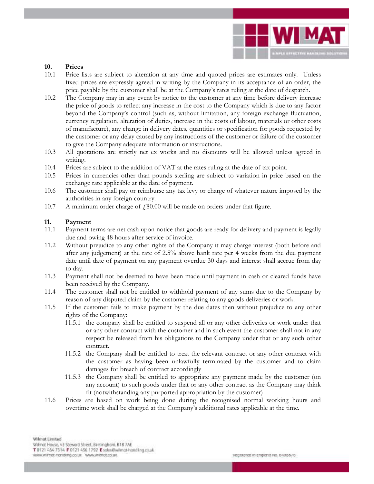

#### **10. Prices**

- 10.1 Price lists are subject to alteration at any time and quoted prices are estimates only. Unless fixed prices are expressly agreed in writing by the Company in its acceptance of an order, the price payable by the customer shall be at the Company's rates ruling at the date of despatch.
- 10.2 The Company may in any event by notice to the customer at any time before delivery increase the price of goods to reflect any increase in the cost to the Company which is due to any factor beyond the Company's control (such as, without limitation, any foreign exchange fluctuation, currency regulation, alteration of duties, increase in the costs of labour, materials or other costs of manufacture), any change in delivery dates, quantities or specification for goods requested by the customer or any delay caused by any instructions of the customer or failure of the customer to give the Company adequate information or instructions.
- 10.3 All quotations are strictly net ex works and no discounts will be allowed unless agreed in writing.
- 10.4 Prices are subject to the addition of VAT at the rates ruling at the date of tax point.
- 10.5 Prices in currencies other than pounds sterling are subject to variation in price based on the exchange rate applicable at the date of payment.
- 10.6 The customer shall pay or reimburse any tax levy or charge of whatever nature imposed by the authorities in any foreign country.
- 10.7 A minimum order charge of  $\text{\emph{f}}_880.00$  will be made on orders under that figure.

# **11. Payment**

- 11.1 Payment terms are net cash upon notice that goods are ready for delivery and payment is legally due and owing 48 hours after service of invoice.
- 11.2 Without prejudice to any other rights of the Company it may charge interest (both before and after any judgement) at the rate of 2.5% above bank rate per 4 weeks from the due payment date until date of payment on any payment overdue 30 days and interest shall accrue from day to day.
- 11.3 Payment shall not be deemed to have been made until payment in cash or cleared funds have been received by the Company.
- 11.4 The customer shall not be entitled to withhold payment of any sums due to the Company by reason of any disputed claim by the customer relating to any goods deliveries or work.
- 11.5 If the customer fails to make payment by the due dates then without prejudice to any other rights of the Company:
	- 11.5.1 the company shall be entitled to suspend all or any other deliveries or work under that or any other contract with the customer and in such event the customer shall not in any respect be released from his obligations to the Company under that or any such other contract.
	- 11.5.2 the Company shall be entitled to treat the relevant contract or any other contract with the customer as having been unlawfully terminated by the customer and to claim damages for breach of contract accordingly
	- 11.5.3 the Company shall be entitled to appropriate any payment made by the customer (on any account) to such goods under that or any other contract as the Company may think fit (notwithstanding any purported appropriation by the customer)
- 11.6 Prices are based on work being done during the recognised normal working hours and overtime work shall be charged at the Company's additional rates applicable at the time.

Wilmat Limited

Willmot House, 43 Steward Street, Barningham, B1B 7AE

T 0121 454 7514 F 0121 456 1792 E soles@witmat-handling.co.uk

www.witnat-handkrig.co.uk www.witnat.co.uk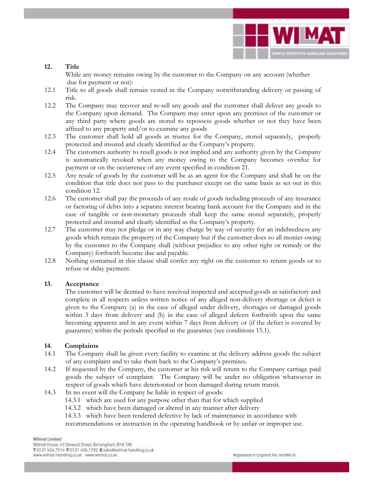

# **12. Title**

 While any money remains owing by the customer to the Company on any account (whether due for payment or not):

- 12.1 Title to all goods shall remain vested in the Company notwithstanding delivery or passing of risk.
- 12.2 The Company may recover and re-sell any goods and the customer shall deliver any goods to the Company upon demand. The Company may enter upon any premises of the customer or any third party where goods are stored to repossess goods whether or not they have been affixed to any property and/or to examine any goods
- 12.3 The customer shall hold all goods as trustee for the Company, stored separately, properly protected and insured and clearly identified as the Company's property.
- 12.4 The customers authority to resell goods is not implied and any authority given by the Company is automatically revoked when any money owing to the Company becomes overdue for payment or on the occurrence of any event specified in condition 21.
- 12.5 Any resale of goods by the customer will be as an agent for the Company and shall be on the condition that title does not pass to the purchaser except on the same basis as set out in this condition 12.
- 12.6 The customer shall pay the proceeds of any resale of goods including proceeds of any insurance or factoring of debts into a separate interest bearing bank account for the Company and in the case of tangible or non-monetary proceeds shall keep the same stored separately, properly protected and insured and clearly identified as the Company's property.
- 12.7 The customer may not pledge or in any way charge by way of security for an indebtedness any goods which remain the property of the Company but if the customer does so all monies owing by the customer to the Company shall (without prejudice to any other right or remedy or the Company) forthwith become due and payable.
- 12.8 Nothing contained in this clause shall confer any right on the customer to return goods or to refuse or delay payment.

# **13. Acceptance**

 The customer will be deemed to have received inspected and accepted goods as satisfactory and complete in all respects unless written notice of any alleged non-delivery shortage or defect is given to the Company (a) in the case of alleged under delivery, shortages or damaged goods within 3 days from delivery and (b) in the case of alleged defects forthwith upon the same becoming apparent and in any event within 7 days from delivery or (if the defect is covered by guarantee) within the periods specified in the guarantee (see conditions 15.1).

# **14. Complaints**

- 14.1 The Company shall be given every facility to examine at the delivery address goods the subject of any complaint and to take them back to the Company's premises.
- 14.2 If requested by the Company, the customer at his risk will return to the Company carriage paid goods the subject of complaint. The Company will be under no obligation whatsoever in respect of goods which have deteriorated or been damaged during return transit.
- 14.3 In no event will the Company be liable in respect of goods:
	- 14.3.1 which are used for any purpose other than that for which supplied
	- 14.3.2 which have been damaged or altered in any manner after delivery
	- 14.3.3 which have been rendered defective by lack of maintenance in accordance with

recommendations or instruction in the operating handbook or by unfair or improper use.

Wilmat Limited

Willmot House, 43 Steward Street, Barningham, B1B 7AE

T 0121 454 7514 F 0121 456 1792 E soles@witmat-handling.co.uk

www.witnat-handling.co.uk www.witnat.co.uk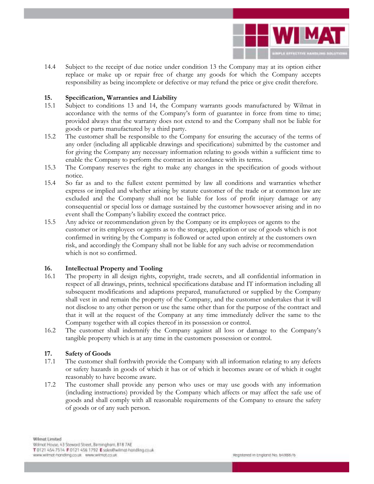

14.4 Subject to the receipt of due notice under condition 13 the Company may at its option either replace or make up or repair free of charge any goods for which the Company accepts responsibility as being incomplete or defective or may refund the price or give credit therefore.

#### **15. Specification, Warranties and Liability**

- 15.1 Subject to conditions 13 and 14, the Company warrants goods manufactured by Wilmat in accordance with the terms of the Company's form of guarantee in force from time to time; provided always that the warranty does not extend to and the Company shall not be liable for goods or parts manufactured by a third party.
- 15.2 The customer shall be responsible to the Company for ensuring the accuracy of the terms of any order (including all applicable drawings and specifications) submitted by the customer and for giving the Company any necessary information relating to goods within a sufficient time to enable the Company to perform the contract in accordance with its terms.
- 15.3 The Company reserves the right to make any changes in the specification of goods without notice.
- 15.4 So far as and to the fullest extent permitted by law all conditions and warranties whether express or implied and whether arising by statute customer of the trade or at common law are excluded and the Company shall not be liable for loss of profit injury damage or any consequential or special loss or damage sustained by the customer howsoever arising and in no event shall the Company's liability exceed the contract price.
- 15.5 Any advice or recommendation given by the Company or its employees or agents to the customer or its employees or agents as to the storage, application or use of goods which is not confirmed in writing by the Company is followed or acted upon entirely at the customers own risk, and accordingly the Company shall not be liable for any such advise or recommendation which is not so confirmed.

#### **16. Intellectual Property and Tooling**

- 16.1 The property in all design rights, copyright, trade secrets, and all confidential information in respect of all drawings, prints, technical specifications database and IT information including all subsequent modifications and adaptions prepared, manufactured or supplied by the Company shall vest in and remain the property of the Company, and the customer undertakes that it will not disclose to any other person or use the same other than for the purpose of the contract and that it will at the request of the Company at any time immediately deliver the same to the Company together with all copies thereof in its possession or control.
- 16.2 The customer shall indemnify the Company against all loss or damage to the Company's tangible property which is at any time in the customers possession or control.

#### **17. Safety of Goods**

- 17.1 The customer shall forthwith provide the Company with all information relating to any defects or safety hazards in goods of which it has or of which it becomes aware or of which it ought reasonably to have become aware.
- 17.2 The customer shall provide any person who uses or may use goods with any information (including instructions) provided by the Company which affects or may affect the safe use of goods and shall comply with all reasonable requirements of the Company to ensure the safety of goods or of any such person.

Wilmat Limited

Willmot House, 43 Steward Street, Barningham, B1B 7AE

T 0121 454 7514 F 0121 456 1792 E soles@witmat-handling.co.uk

www.witnat-handkrig.co.uk www.witnat.co.uk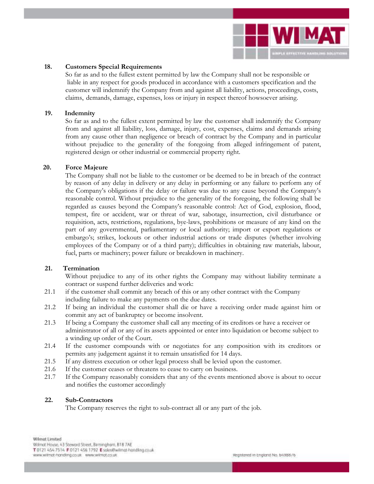

#### **18. Customers Special Requirements**

 So far as and to the fullest extent permitted by law the Company shall not be responsible or liable in any respect for goods produced in accordance with a customers specification and the customer will indemnify the Company from and against all liability, actions, proceedings, costs, claims, demands, damage, expenses, loss or injury in respect thereof howsoever arising.

#### **19. Indemnity**

So far as and to the fullest extent permitted by law the customer shall indemnify the Company from and against all liability, loss, damage, injury, cost, expenses, claims and demands arising from any cause other than negligence or breach of contract by the Company and in particular without prejudice to the generality of the foregoing from alleged infringement of patent, registered design or other industrial or commercial property right.

#### **20. Force Majeure**

The Company shall not be liable to the customer or be deemed to be in breach of the contract by reason of any delay in delivery or any delay in performing or any failure to perform any of the Company's obligations if the delay or failure was due to any cause beyond the Company's reasonable control. Without prejudice to the generality of the foregoing, the following shall be regarded as causes beyond the Company's reasonable control: Act of God, explosion, flood, tempest, fire or accident, war or threat of war, sabotage, insurrection, civil disturbance or requisition, acts, restrictions, regulations, bye-laws, prohibitions or measure of any kind on the part of any governmental, parliamentary or local authority; import or export regulations or embargo's; strikes, lockouts or other industrial actions or trade disputes (whether involving employees of the Company or of a third party); difficulties in obtaining raw materials, labour, fuel, parts or machinery; power failure or breakdown in machinery.

# **21. Termination**

Without prejudice to any of its other rights the Company may without liability terminate a contract or suspend further deliveries and work:

- 21.1 if the customer shall commit any breach of this or any other contract with the Company including failure to make any payments on the due dates.
- 21.2 If being an individual the customer shall die or have a receiving order made against him or commit any act of bankruptcy or become insolvent.
- 21.3 If being a Company the customer shall call any meeting of its creditors or have a receiver or administrator of all or any of its assets appointed or enter into liquidation or become subject to a winding up order of the Court.
- 21.4 If the customer compounds with or negotiates for any composition with its creditors or permits any judgement against it to remain unsatisfied for 14 days.
- 21.5 If any distress execution or other legal process shall be levied upon the customer.
- 21.6 If the customer ceases or threatens to cease to carry on business.<br>21.7 If the Company reasonably considers that any of the events men
- If the Company reasonably considers that any of the events mentioned above is about to occur and notifies the customer accordingly

#### **22. Sub-Contractors**

The Company reserves the right to sub-contract all or any part of the job.